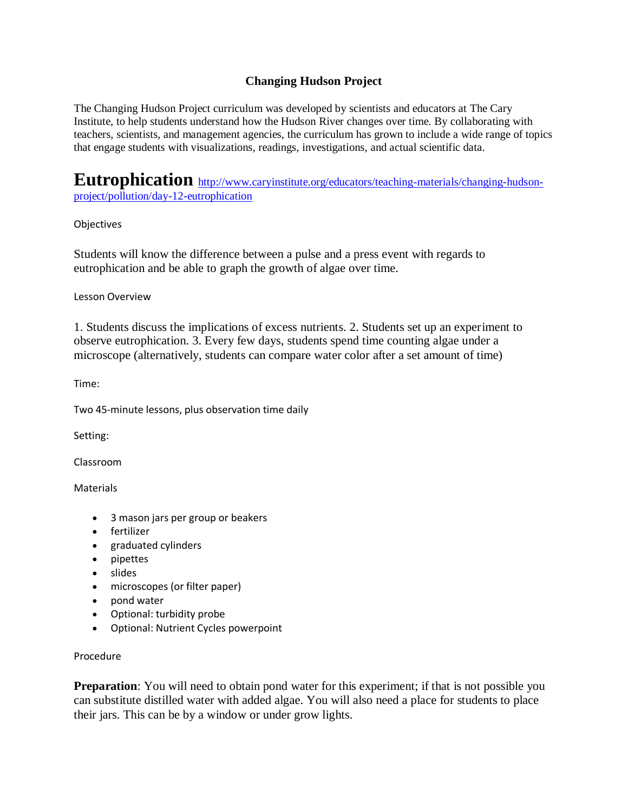# **Changing Hudson Project**

The Changing Hudson Project curriculum was developed by scientists and educators at The Cary Institute, to help students understand how the Hudson River changes over time. By collaborating with teachers, scientists, and management agencies, the curriculum has grown to include a wide range of topics that engage students with visualizations, readings, investigations, and actual scientific data.

**Eutrophication** [http://www.caryinstitute.org/educators/teaching-materials/changing-hudson](http://www.caryinstitute.org/educators/teaching-materials/changing-hudson-project/pollution/day-12-eutrophication)[project/pollution/day-12-eutrophication](http://www.caryinstitute.org/educators/teaching-materials/changing-hudson-project/pollution/day-12-eutrophication)

## **Objectives**

Students will know the difference between a pulse and a press event with regards to eutrophication and be able to graph the growth of algae over time.

Lesson Overview

1. Students discuss the implications of excess nutrients. 2. Students set up an experiment to observe eutrophication. 3. Every few days, students spend time counting algae under a microscope (alternatively, students can compare water color after a set amount of time)

Time:

Two 45-minute lessons, plus observation time daily

Setting:

Classroom

**Materials** 

- 3 mason jars per group or beakers
- fertilizer
- graduated cylinders
- pipettes
- slides
- microscopes (or filter paper)
- pond water
- Optional: turbidity probe
- Optional: Nutrient Cycles powerpoint

### Procedure

**Preparation**: You will need to obtain pond water for this experiment; if that is not possible you can substitute distilled water with added algae. You will also need a place for students to place their jars. This can be by a window or under grow lights.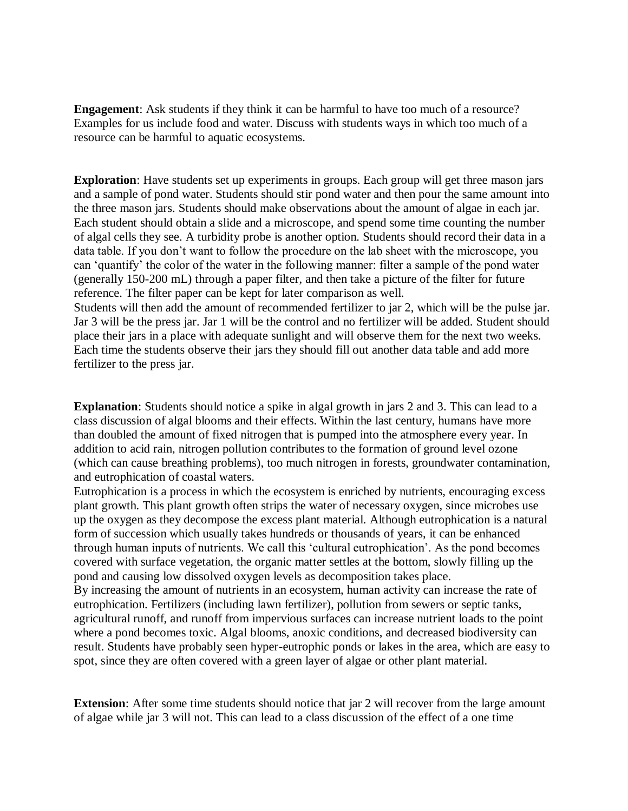**Engagement**: Ask students if they think it can be harmful to have too much of a resource? Examples for us include food and water. Discuss with students ways in which too much of a resource can be harmful to aquatic ecosystems.

**Exploration**: Have students set up experiments in groups. Each group will get three mason jars and a sample of pond water. Students should stir pond water and then pour the same amount into the three mason jars. Students should make observations about the amount of algae in each jar. Each student should obtain a slide and a microscope, and spend some time counting the number of algal cells they see. A turbidity probe is another option. Students should record their data in a data table. If you don't want to follow the procedure on the lab sheet with the microscope, you can 'quantify' the color of the water in the following manner: filter a sample of the pond water (generally 150-200 mL) through a paper filter, and then take a picture of the filter for future reference. The filter paper can be kept for later comparison as well.

Students will then add the amount of recommended fertilizer to jar 2, which will be the pulse jar. Jar 3 will be the press jar. Jar 1 will be the control and no fertilizer will be added. Student should place their jars in a place with adequate sunlight and will observe them for the next two weeks. Each time the students observe their jars they should fill out another data table and add more fertilizer to the press jar.

**Explanation**: Students should notice a spike in algal growth in jars 2 and 3. This can lead to a class discussion of algal blooms and their effects. Within the last century, humans have more than doubled the amount of fixed nitrogen that is pumped into the atmosphere every year. In addition to acid rain, nitrogen pollution contributes to the formation of ground level ozone (which can cause breathing problems), too much nitrogen in forests, groundwater contamination, and eutrophication of coastal waters.

Eutrophication is a process in which the ecosystem is enriched by nutrients, encouraging excess plant growth. This plant growth often strips the water of necessary oxygen, since microbes use up the oxygen as they decompose the excess plant material. Although eutrophication is a natural form of succession which usually takes hundreds or thousands of years, it can be enhanced through human inputs of nutrients. We call this 'cultural eutrophication'. As the pond becomes covered with surface vegetation, the organic matter settles at the bottom, slowly filling up the pond and causing low dissolved oxygen levels as decomposition takes place.

By increasing the amount of nutrients in an ecosystem, human activity can increase the rate of eutrophication. Fertilizers (including lawn fertilizer), pollution from sewers or septic tanks, agricultural runoff, and runoff from impervious surfaces can increase nutrient loads to the point where a pond becomes toxic. Algal blooms, anoxic conditions, and decreased biodiversity can result. Students have probably seen hyper-eutrophic ponds or lakes in the area, which are easy to spot, since they are often covered with a green layer of algae or other plant material.

**Extension**: After some time students should notice that jar 2 will recover from the large amount of algae while jar 3 will not. This can lead to a class discussion of the effect of a one time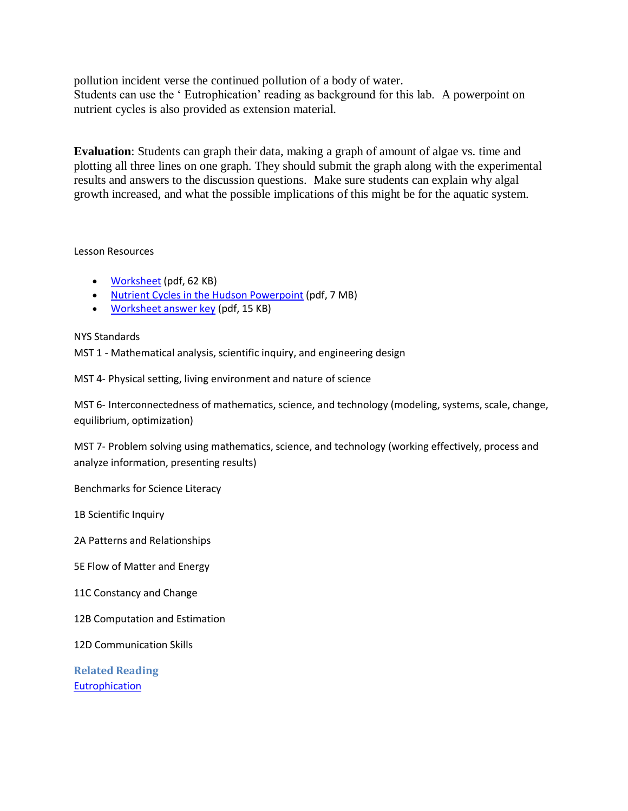pollution incident verse the continued pollution of a body of water. Students can use the ' Eutrophication' reading as background for this lab. A powerpoint on nutrient cycles is also provided as extension material.

**Evaluation**: Students can graph their data, making a graph of amount of algae vs. time and plotting all three lines on one graph. They should submit the graph along with the experimental results and answers to the discussion questions. Make sure students can explain why algal growth increased, and what the possible implications of this might be for the aquatic system.

### Lesson Resources

- [Worksheet](http://www.caryinstitute.org/sites/default/files/public/downloads/lesson-plans/4C3_eutrophication_worksheet.pdf) (pdf, 62 KB)
- [Nutrient Cycles in the Hudson Powerpoint](http://www.caryinstitute.org/sites/default/files/public/downloads/lesson-plans/4C3_eutrophication_nutrient_cycles_ppt.pdf) (pdf, 7 MB)
- [Worksheet answer key](http://www.caryinstitute.org/sites/default/files/public/downloads/lesson-plans/4C3_eutrophication_answer_key.pdf) (pdf, 15 KB)

### NYS Standards

MST 1 - Mathematical analysis, scientific inquiry, and engineering design

MST 4- Physical setting, living environment and nature of science

MST 6- Interconnectedness of mathematics, science, and technology (modeling, systems, scale, change, equilibrium, optimization)

MST 7- Problem solving using mathematics, science, and technology (working effectively, process and analyze information, presenting results)

Benchmarks for Science Literacy

1B Scientific Inquiry

2A Patterns and Relationships

5E Flow of Matter and Energy

11C Constancy and Change

12B Computation and Estimation

12D Communication Skills

**Related Reading** [Eutrophication](http://www.caryinstitute.org/educators/teaching-materials/changing-hudson-project/eutrophication)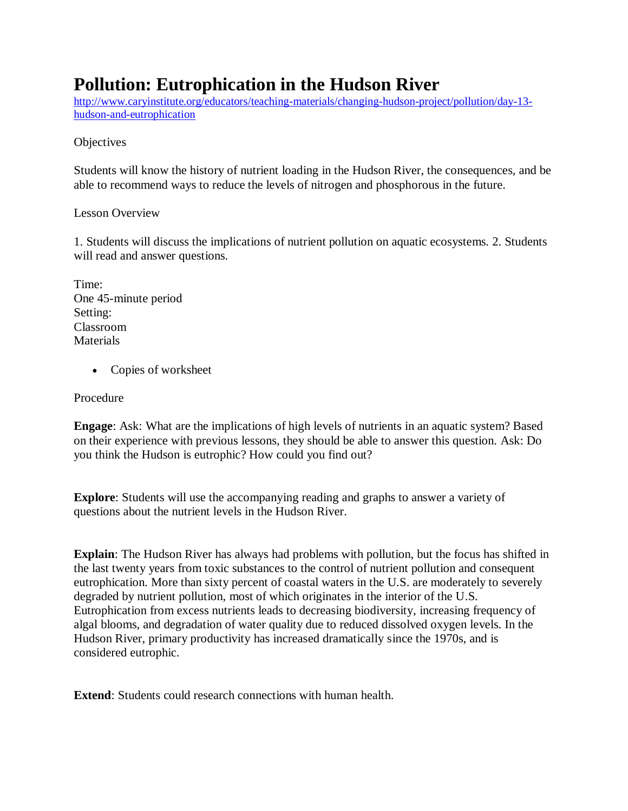# **Pollution: Eutrophication in the Hudson River**

[http://www.caryinstitute.org/educators/teaching-materials/changing-hudson-project/pollution/day-13](http://www.caryinstitute.org/educators/teaching-materials/changing-hudson-project/pollution/day-13-hudson-and-eutrophication) [hudson-and-eutrophication](http://www.caryinstitute.org/educators/teaching-materials/changing-hudson-project/pollution/day-13-hudson-and-eutrophication)

## **Objectives**

Students will know the history of nutrient loading in the Hudson River, the consequences, and be able to recommend ways to reduce the levels of nitrogen and phosphorous in the future.

# Lesson Overview

1. Students will discuss the implications of nutrient pollution on aquatic ecosystems. 2. Students will read and answer questions.

- Time: One 45-minute period Setting: Classroom **Materials** 
	- Copies of worksheet

Procedure

**Engage**: Ask: What are the implications of high levels of nutrients in an aquatic system? Based on their experience with previous lessons, they should be able to answer this question. Ask: Do you think the Hudson is eutrophic? How could you find out?

**Explore:** Students will use the accompanying reading and graphs to answer a variety of questions about the nutrient levels in the Hudson River.

**Explain**: The Hudson River has always had problems with pollution, but the focus has shifted in the last twenty years from toxic substances to the control of nutrient pollution and consequent eutrophication. More than sixty percent of coastal waters in the U.S. are moderately to severely degraded by nutrient pollution, most of which originates in the interior of the U.S. Eutrophication from excess nutrients leads to decreasing biodiversity, increasing frequency of algal blooms, and degradation of water quality due to reduced dissolved oxygen levels. In the Hudson River, primary productivity has increased dramatically since the 1970s, and is considered eutrophic.

**Extend**: Students could research connections with human health.